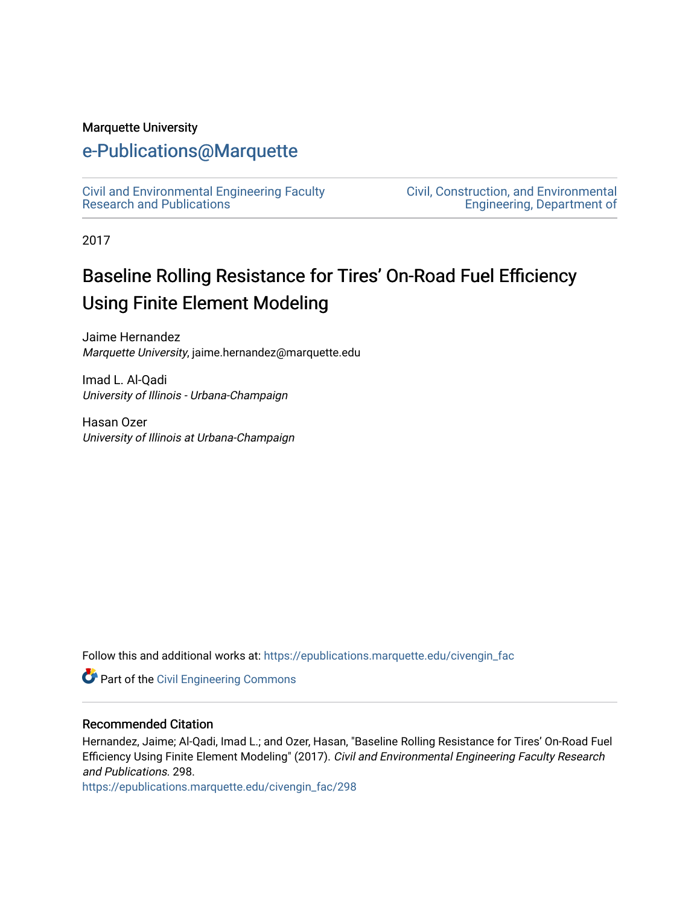#### Marquette University

### [e-Publications@Marquette](https://epublications.marquette.edu/)

[Civil and Environmental Engineering Faculty](https://epublications.marquette.edu/civengin_fac) [Research and Publications](https://epublications.marquette.edu/civengin_fac) 

[Civil, Construction, and Environmental](https://epublications.marquette.edu/civengin)  [Engineering, Department of](https://epublications.marquette.edu/civengin) 

2017

# Baseline Rolling Resistance for Tires' On-Road Fuel Efficiency Using Finite Element Modeling

Jaime Hernandez Marquette University, jaime.hernandez@marquette.edu

Imad L. Al-Qadi University of Illinois - Urbana-Champaign

Hasan Ozer University of Illinois at Urbana-Champaign

Follow this and additional works at: [https://epublications.marquette.edu/civengin\\_fac](https://epublications.marquette.edu/civengin_fac?utm_source=epublications.marquette.edu%2Fcivengin_fac%2F298&utm_medium=PDF&utm_campaign=PDFCoverPages) 

Part of the [Civil Engineering Commons](http://network.bepress.com/hgg/discipline/252?utm_source=epublications.marquette.edu%2Fcivengin_fac%2F298&utm_medium=PDF&utm_campaign=PDFCoverPages)

#### Recommended Citation

Hernandez, Jaime; Al-Qadi, Imad L.; and Ozer, Hasan, "Baseline Rolling Resistance for Tires' On-Road Fuel Efficiency Using Finite Element Modeling" (2017). Civil and Environmental Engineering Faculty Research and Publications. 298.

[https://epublications.marquette.edu/civengin\\_fac/298](https://epublications.marquette.edu/civengin_fac/298?utm_source=epublications.marquette.edu%2Fcivengin_fac%2F298&utm_medium=PDF&utm_campaign=PDFCoverPages)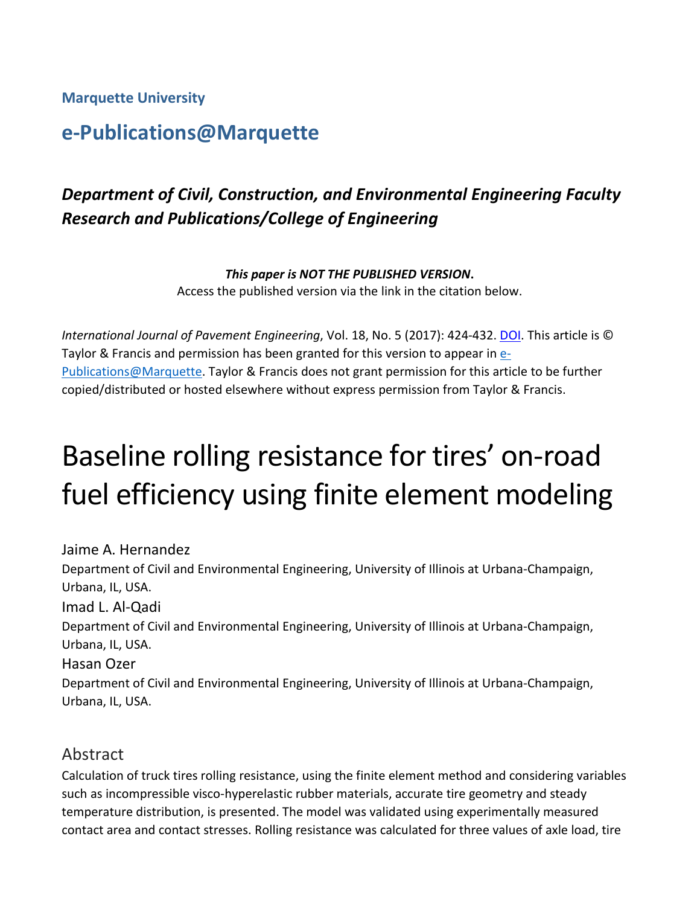**Marquette University**

## **e-Publications@Marquette**

## *Department of Civil, Construction, and Environmental Engineering Faculty Research and Publications/College of Engineering*

*This paper is NOT THE PUBLISHED VERSION***.** 

Access the published version via the link in the citation below.

*International Journal of Pavement Engineering*, Vol. 18, No. 5 (2017): 424-432. [DOI.](http://doi.org/10.1080/10298436.2015.1095298) This article is © Taylor & Francis and permission has been granted for this version to appear in [e-](http://epublications.marquette.edu/)[Publications@Marquette.](http://epublications.marquette.edu/) Taylor & Francis does not grant permission for this article to be further copied/distributed or hosted elsewhere without express permission from Taylor & Francis.

# Baseline rolling resistance for tires' on-road fuel efficiency using finite element modeling

Jaime A. Hernandez Department of Civil and Environmental Engineering, University of Illinois at Urbana-Champaign, Urbana, IL, USA. Imad L. Al-Qadi Department of Civil and Environmental Engineering, University of Illinois at Urbana-Champaign, Urbana, IL, USA. Hasan Ozer Department of Civil and Environmental Engineering, University of Illinois at Urbana-Champaign, Urbana, IL, USA.

#### Abstract

Calculation of truck tires rolling resistance, using the finite element method and considering variables such as incompressible visco-hyperelastic rubber materials, accurate tire geometry and steady temperature distribution, is presented. The model was validated using experimentally measured contact area and contact stresses. Rolling resistance was calculated for three values of axle load, tire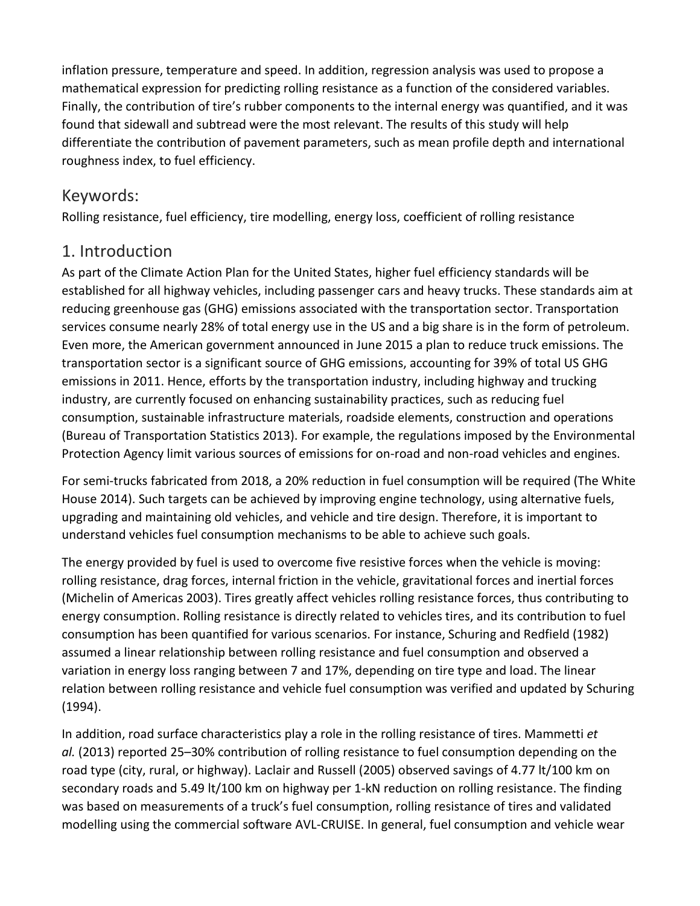inflation pressure, temperature and speed. In addition, regression analysis was used to propose a mathematical expression for predicting rolling resistance as a function of the considered variables. Finally, the contribution of tire's rubber components to the internal energy was quantified, and it was found that sidewall and subtread were the most relevant. The results of this study will help differentiate the contribution of pavement parameters, such as mean profile depth and international roughness index, to fuel efficiency.

#### Keywords:

Rolling resistance, fuel efficiency, tire modelling, energy loss, coefficient of rolling resistance

#### 1. Introduction

As part of the Climate Action Plan for the United States, higher fuel efficiency standards will be established for all highway vehicles, including passenger cars and heavy trucks. These standards aim at reducing greenhouse gas (GHG) emissions associated with the transportation sector. Transportation services consume nearly 28% of total energy use in the US and a big share is in the form of petroleum. Even more, the American government announced in June 2015 a plan to reduce truck emissions. The transportation sector is a significant source of GHG emissions, accounting for 39% of total US GHG emissions in 2011. Hence, efforts by the transportation industry, including highway and trucking industry, are currently focused on enhancing sustainability practices, such as reducing fuel consumption, sustainable infrastructure materials, roadside elements, construction and operations (Bureau of Transportation Statistics 2013). For example, the regulations imposed by the Environmental Protection Agency limit various sources of emissions for on-road and non-road vehicles and engines.

For semi-trucks fabricated from 2018, a 20% reduction in fuel consumption will be required (The White House 2014). Such targets can be achieved by improving engine technology, using alternative fuels, upgrading and maintaining old vehicles, and vehicle and tire design. Therefore, it is important to understand vehicles fuel consumption mechanisms to be able to achieve such goals.

The energy provided by fuel is used to overcome five resistive forces when the vehicle is moving: rolling resistance, drag forces, internal friction in the vehicle, gravitational forces and inertial forces (Michelin of Americas 2003). Tires greatly affect vehicles rolling resistance forces, thus contributing to energy consumption. Rolling resistance is directly related to vehicles tires, and its contribution to fuel consumption has been quantified for various scenarios. For instance, Schuring and Redfield (1982) assumed a linear relationship between rolling resistance and fuel consumption and observed a variation in energy loss ranging between 7 and 17%, depending on tire type and load. The linear relation between rolling resistance and vehicle fuel consumption was verified and updated by Schuring (1994).

In addition, road surface characteristics play a role in the rolling resistance of tires. Mammetti *et al.* (2013) reported 25–30% contribution of rolling resistance to fuel consumption depending on the road type (city, rural, or highway). Laclair and Russell (2005) observed savings of 4.77 lt/100 km on secondary roads and 5.49 lt/100 km on highway per 1-kN reduction on rolling resistance. The finding was based on measurements of a truck's fuel consumption, rolling resistance of tires and validated modelling using the commercial software AVL-CRUISE. In general, fuel consumption and vehicle wear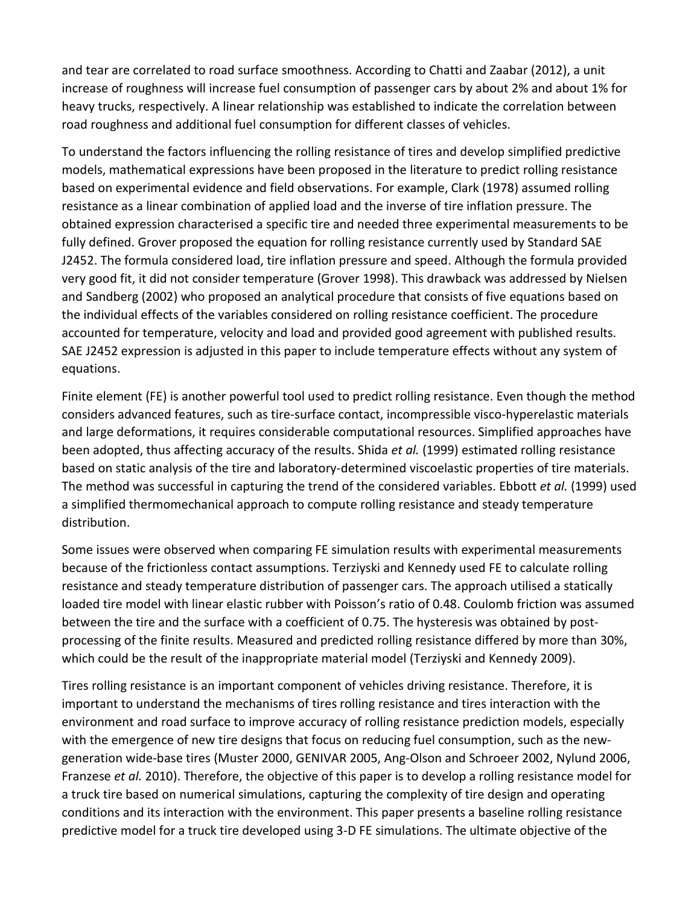and tear are correlated to road surface smoothness. According to Chatti and Zaabar (2012), a unit increase of roughness will increase fuel consumption of passenger cars by about 2% and about 1% for heavy trucks, respectively. A linear relationship was established to indicate the correlation between road roughness and additional fuel consumption for different classes of vehicles.

To understand the factors influencing the rolling resistance of tires and develop simplified predictive models, mathematical expressions have been proposed in the literature to predict rolling resistance based on experimental evidence and field observations. For example, Clark (1978) assumed rolling resistance as a linear combination of applied load and the inverse of tire inflation pressure. The obtained expression characterised a specific tire and needed three experimental measurements to be fully defined. Grover proposed the equation for rolling resistance currently used by Standard SAE J2452. The formula considered load, tire inflation pressure and speed. Although the formula provided very good fit, it did not consider temperature (Grover 1998). This drawback was addressed by Nielsen and Sandberg (2002) who proposed an analytical procedure that consists of five equations based on the individual effects of the variables considered on rolling resistance coefficient. The procedure accounted for temperature, velocity and load and provided good agreement with published results. SAE J2452 expression is adjusted in this paper to include temperature effects without any system of equations.

Finite element (FE) is another powerful tool used to predict rolling resistance. Even though the method considers advanced features, such as tire-surface contact, incompressible visco-hyperelastic materials and large deformations, it requires considerable computational resources. Simplified approaches have been adopted, thus affecting accuracy of the results. Shida *et al.* (1999) estimated rolling resistance based on static analysis of the tire and laboratory-determined viscoelastic properties of tire materials. The method was successful in capturing the trend of the considered variables. Ebbott *et al.* (1999) used a simplified thermomechanical approach to compute rolling resistance and steady temperature distribution.

Some issues were observed when comparing FE simulation results with experimental measurements because of the frictionless contact assumptions. Terziyski and Kennedy used FE to calculate rolling resistance and steady temperature distribution of passenger cars. The approach utilised a statically loaded tire model with linear elastic rubber with Poisson's ratio of 0.48. Coulomb friction was assumed between the tire and the surface with a coefficient of 0.75. The hysteresis was obtained by postprocessing of the finite results. Measured and predicted rolling resistance differed by more than 30%, which could be the result of the inappropriate material model (Terziyski and Kennedy 2009).

Tires rolling resistance is an important component of vehicles driving resistance. Therefore, it is important to understand the mechanisms of tires rolling resistance and tires interaction with the environment and road surface to improve accuracy of rolling resistance prediction models, especially with the emergence of new tire designs that focus on reducing fuel consumption, such as the newgeneration wide-base tires (Muster 2000, GENIVAR 2005, Ang-Olson and Schroeer 2002, Nylund 2006, Franzese *et al.* 2010). Therefore, the objective of this paper is to develop a rolling resistance model for a truck tire based on numerical simulations, capturing the complexity of tire design and operating conditions and its interaction with the environment. This paper presents a baseline rolling resistance predictive model for a truck tire developed using 3-D FE simulations. The ultimate objective of the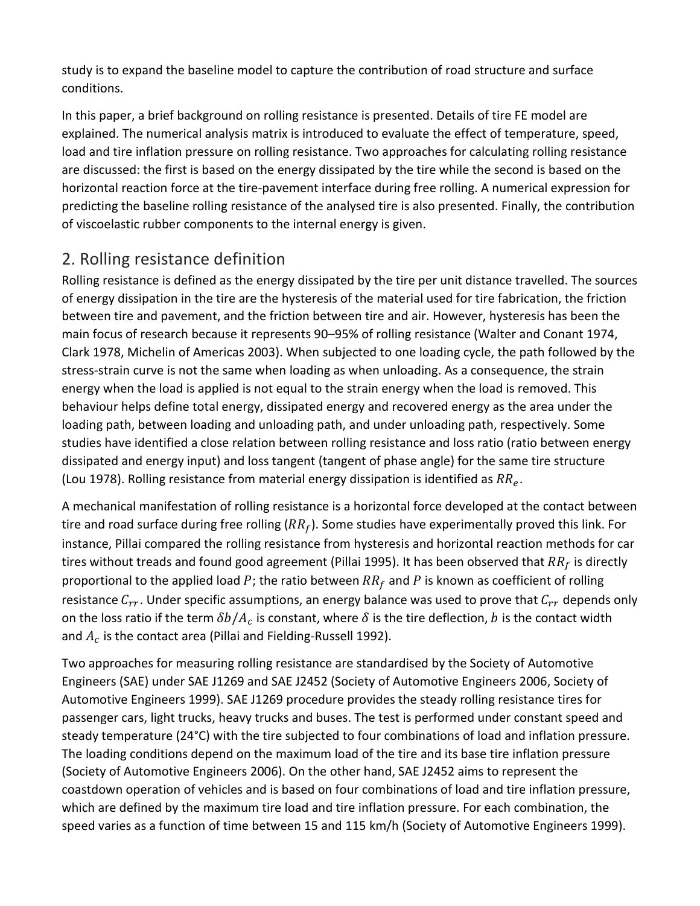study is to expand the baseline model to capture the contribution of road structure and surface conditions.

In this paper, a brief background on rolling resistance is presented. Details of tire FE model are explained. The numerical analysis matrix is introduced to evaluate the effect of temperature, speed, load and tire inflation pressure on rolling resistance. Two approaches for calculating rolling resistance are discussed: the first is based on the energy dissipated by the tire while the second is based on the horizontal reaction force at the tire-pavement interface during free rolling. A numerical expression for predicting the baseline rolling resistance of the analysed tire is also presented. Finally, the contribution of viscoelastic rubber components to the internal energy is given.

### 2. Rolling resistance definition

Rolling resistance is defined as the energy dissipated by the tire per unit distance travelled. The sources of energy dissipation in the tire are the hysteresis of the material used for tire fabrication, the friction between tire and pavement, and the friction between tire and air. However, hysteresis has been the main focus of research because it represents 90–95% of rolling resistance (Walter and Conant 1974, Clark 1978, Michelin of Americas 2003). When subjected to one loading cycle, the path followed by the stress-strain curve is not the same when loading as when unloading. As a consequence, the strain energy when the load is applied is not equal to the strain energy when the load is removed. This behaviour helps define total energy, dissipated energy and recovered energy as the area under the loading path, between loading and unloading path, and under unloading path, respectively. Some studies have identified a close relation between rolling resistance and loss ratio (ratio between energy dissipated and energy input) and loss tangent (tangent of phase angle) for the same tire structure (Lou 1978). Rolling resistance from material energy dissipation is identified as  $RR_e$ .

A mechanical manifestation of rolling resistance is a horizontal force developed at the contact between tire and road surface during free rolling ( $RR_f$ ). Some studies have experimentally proved this link. For instance, Pillai compared the rolling resistance from hysteresis and horizontal reaction methods for car tires without treads and found good agreement (Pillai 1995). It has been observed that  $RR<sub>f</sub>$  is directly proportional to the applied load P; the ratio between  $RR<sub>f</sub>$  and P is known as coefficient of rolling resistance  $C_{rr}$ . Under specific assumptions, an energy balance was used to prove that  $C_{rr}$  depends only on the loss ratio if the term  $\delta b / A_c$  is constant, where  $\delta$  is the tire deflection, b is the contact width and  $A_c$  is the contact area (Pillai and Fielding-Russell 1992).

Two approaches for measuring rolling resistance are standardised by the Society of Automotive Engineers (SAE) under SAE J1269 and SAE J2452 (Society of Automotive Engineers 2006, Society of Automotive Engineers 1999). SAE J1269 procedure provides the steady rolling resistance tires for passenger cars, light trucks, heavy trucks and buses. The test is performed under constant speed and steady temperature (24°C) with the tire subjected to four combinations of load and inflation pressure. The loading conditions depend on the maximum load of the tire and its base tire inflation pressure (Society of Automotive Engineers 2006). On the other hand, SAE J2452 aims to represent the coastdown operation of vehicles and is based on four combinations of load and tire inflation pressure, which are defined by the maximum tire load and tire inflation pressure. For each combination, the speed varies as a function of time between 15 and 115 km/h (Society of Automotive Engineers 1999).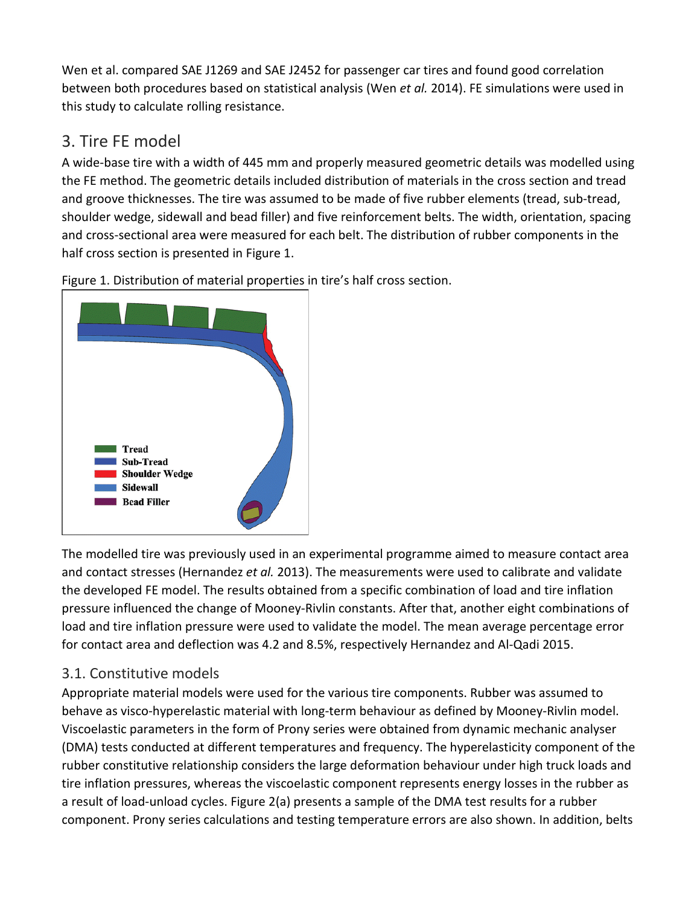Wen et al. compared SAE J1269 and SAE J2452 for passenger car tires and found good correlation between both procedures based on statistical analysis (Wen *et al.* 2014). FE simulations were used in this study to calculate rolling resistance.

#### 3. Tire FE model

A wide-base tire with a width of 445 mm and properly measured geometric details was modelled using the FE method. The geometric details included distribution of materials in the cross section and tread and groove thicknesses. The tire was assumed to be made of five rubber elements (tread, sub-tread, shoulder wedge, sidewall and bead filler) and five reinforcement belts. The width, orientation, spacing and cross-sectional area were measured for each belt. The distribution of rubber components in the half cross section is presented in Figure 1.

Figure 1. Distribution of material properties in tire's half cross section.



The modelled tire was previously used in an experimental programme aimed to measure contact area and contact stresses (Hernandez *et al.* 2013). The measurements were used to calibrate and validate the developed FE model. The results obtained from a specific combination of load and tire inflation pressure influenced the change of Mooney-Rivlin constants. After that, another eight combinations of load and tire inflation pressure were used to validate the model. The mean average percentage error for contact area and deflection was 4.2 and 8.5%, respectively Hernandez and Al-Qadi 2015.

#### 3.1. Constitutive models

Appropriate material models were used for the various tire components. Rubber was assumed to behave as visco-hyperelastic material with long-term behaviour as defined by Mooney-Rivlin model. Viscoelastic parameters in the form of Prony series were obtained from dynamic mechanic analyser (DMA) tests conducted at different temperatures and frequency. The hyperelasticity component of the rubber constitutive relationship considers the large deformation behaviour under high truck loads and tire inflation pressures, whereas the viscoelastic component represents energy losses in the rubber as a result of load-unload cycles. Figure 2(a) presents a sample of the DMA test results for a rubber component. Prony series calculations and testing temperature errors are also shown. In addition, belts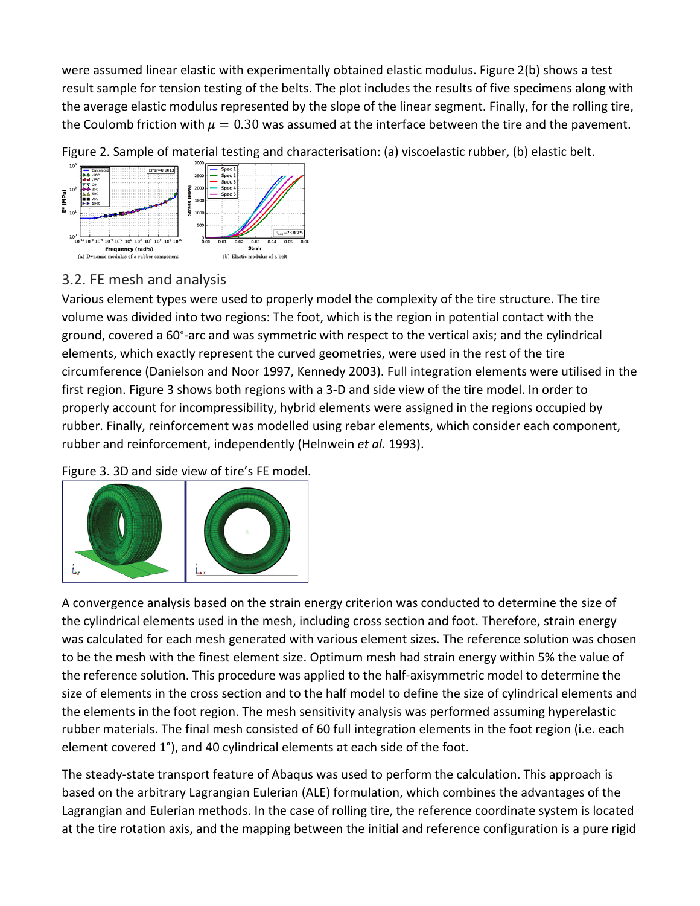were assumed linear elastic with experimentally obtained elastic modulus. Figure 2(b) shows a test result sample for tension testing of the belts. The plot includes the results of five specimens along with the average elastic modulus represented by the slope of the linear segment. Finally, for the rolling tire, the Coulomb friction with  $\mu = 0.30$  was assumed at the interface between the tire and the pavement.

Figure 2. Sample of material testing and characterisation: (a) viscoelastic rubber, (b) elastic belt.



#### 3.2. FE mesh and analysis

Various element types were used to properly model the complexity of the tire structure. The tire volume was divided into two regions: The foot, which is the region in potential contact with the ground, covered a 60°-arc and was symmetric with respect to the vertical axis; and the cylindrical elements, which exactly represent the curved geometries, were used in the rest of the tire circumference (Danielson and Noor 1997, Kennedy 2003). Full integration elements were utilised in the first region. Figure 3 shows both regions with a 3-D and side view of the tire model. In order to properly account for incompressibility, hybrid elements were assigned in the regions occupied by rubber. Finally, reinforcement was modelled using rebar elements, which consider each component, rubber and reinforcement, independently (Helnwein *et al.* 1993).

Figure 3. 3D and side view of tire's FE model.



A convergence analysis based on the strain energy criterion was conducted to determine the size of the cylindrical elements used in the mesh, including cross section and foot. Therefore, strain energy was calculated for each mesh generated with various element sizes. The reference solution was chosen to be the mesh with the finest element size. Optimum mesh had strain energy within 5% the value of the reference solution. This procedure was applied to the half-axisymmetric model to determine the size of elements in the cross section and to the half model to define the size of cylindrical elements and the elements in the foot region. The mesh sensitivity analysis was performed assuming hyperelastic rubber materials. The final mesh consisted of 60 full integration elements in the foot region (i.e. each element covered 1°), and 40 cylindrical elements at each side of the foot.

The steady-state transport feature of Abaqus was used to perform the calculation. This approach is based on the arbitrary Lagrangian Eulerian (ALE) formulation, which combines the advantages of the Lagrangian and Eulerian methods. In the case of rolling tire, the reference coordinate system is located at the tire rotation axis, and the mapping between the initial and reference configuration is a pure rigid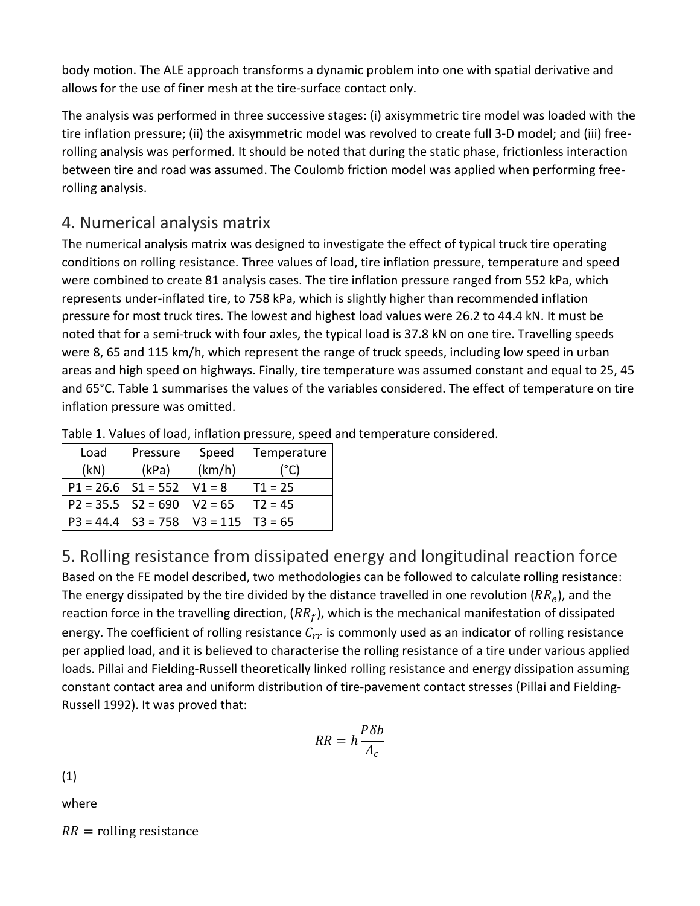body motion. The ALE approach transforms a dynamic problem into one with spatial derivative and allows for the use of finer mesh at the tire-surface contact only.

The analysis was performed in three successive stages: (i) axisymmetric tire model was loaded with the tire inflation pressure; (ii) the axisymmetric model was revolved to create full 3-D model; and (iii) freerolling analysis was performed. It should be noted that during the static phase, frictionless interaction between tire and road was assumed. The Coulomb friction model was applied when performing freerolling analysis.

#### 4. Numerical analysis matrix

The numerical analysis matrix was designed to investigate the effect of typical truck tire operating conditions on rolling resistance. Three values of load, tire inflation pressure, temperature and speed were combined to create 81 analysis cases. The tire inflation pressure ranged from 552 kPa, which represents under-inflated tire, to 758 kPa, which is slightly higher than recommended inflation pressure for most truck tires. The lowest and highest load values were 26.2 to 44.4 kN. It must be noted that for a semi-truck with four axles, the typical load is 37.8 kN on one tire. Travelling speeds were 8, 65 and 115 km/h, which represent the range of truck speeds, including low speed in urban areas and high speed on highways. Finally, tire temperature was assumed constant and equal to 25, 45 and 65°C. Table 1 summarises the values of the variables considered. The effect of temperature on tire inflation pressure was omitted.

| Load                   | Pressure   | Speed                            | Temperature |
|------------------------|------------|----------------------------------|-------------|
| (kN)                   | (kPa)      | (km/h)                           | '°C)        |
| $P1 = 26.6$   S1 = 552 |            | $V1 = 8$                         | $T1 = 25$   |
| $P2 = 35.5$   S2 = 690 |            | $V2 = 65$                        | $T2 = 45$   |
| $P3 = 44.4$            | $S3 = 758$ | $\vert$ V3 = 115 $\vert$ T3 = 65 |             |

Table 1. Values of load, inflation pressure, speed and temperature considered.

5. Rolling resistance from dissipated energy and longitudinal reaction force Based on the FE model described, two methodologies can be followed to calculate rolling resistance: The energy dissipated by the tire divided by the distance travelled in one revolution  $(RR_e)$ , and the reaction force in the travelling direction,  $(RR_f)$ , which is the mechanical manifestation of dissipated energy. The coefficient of rolling resistance  $C_{rr}$  is commonly used as an indicator of rolling resistance per applied load, and it is believed to characterise the rolling resistance of a tire under various applied loads. Pillai and Fielding-Russell theoretically linked rolling resistance and energy dissipation assuming constant contact area and uniform distribution of tire-pavement contact stresses (Pillai and Fielding-Russell 1992). It was proved that:

$$
RR = h \frac{P \delta b}{A_c}
$$

(1)

where

 $RR =$  rolling resistance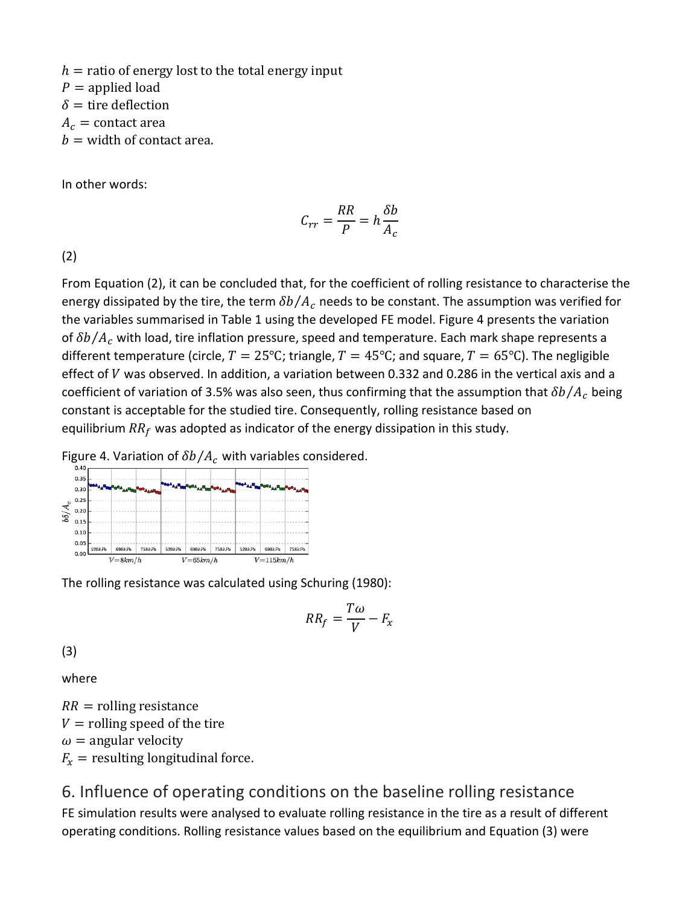$h =$  ratio of energy lost to the total energy input  $P =$  applied load  $\delta$  = tire deflection  $A_c$  = contact area

 $b =$  width of contact area.

In other words:

$$
C_{rr} = \frac{RR}{P} = h \frac{\delta b}{A_c}
$$

(2)

From Equation (2), it can be concluded that, for the coefficient of rolling resistance to characterise the energy dissipated by the tire, the term  $\delta b/A_c$  needs to be constant. The assumption was verified for the variables summarised in Table 1 using the developed FE model. Figure 4 presents the variation of  $\delta b/A_c$  with load, tire inflation pressure, speed and temperature. Each mark shape represents a different temperature (circle,  $T = 25^{\circ}\text{C}$ ; triangle,  $T = 45^{\circ}\text{C}$ ; and square,  $T = 65^{\circ}\text{C}$ ). The negligible effect of  $V$  was observed. In addition, a variation between 0.332 and 0.286 in the vertical axis and a coefficient of variation of 3.5% was also seen, thus confirming that the assumption that  $\delta b/A_c$  being constant is acceptable for the studied tire. Consequently, rolling resistance based on equilibrium  $RR_f$  was adopted as indicator of the energy dissipation in this study.





The rolling resistance was calculated using Schuring (1980):

$$
RR_f = \frac{T\omega}{V} - F_x
$$

(3)

where

 $RR =$  rolling resistance  $V =$  rolling speed of the tire  $\omega$  = angular velocity  $F_x$  = resulting longitudinal force.

#### 6. Influence of operating conditions on the baseline rolling resistance FE simulation results were analysed to evaluate rolling resistance in the tire as a result of different operating conditions. Rolling resistance values based on the equilibrium and Equation (3) were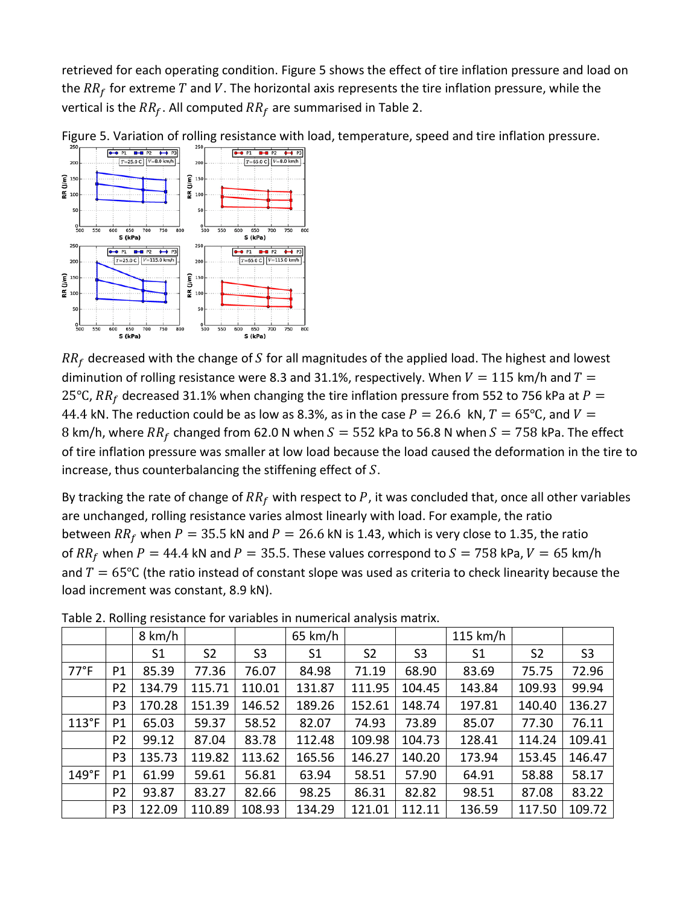retrieved for each operating condition. Figure 5 shows the effect of tire inflation pressure and load on the  $RR_f$  for extreme  $T$  and  $V$ . The horizontal axis represents the tire inflation pressure, while the vertical is the  $RR_f$ . All computed  $RR_f$  are summarised in Table 2.



Figure 5. Variation of rolling resistance with load, temperature, speed and tire inflation pressure.

 $RR<sub>f</sub>$  decreased with the change of S for all magnitudes of the applied load. The highest and lowest diminution of rolling resistance were 8.3 and 31.1%, respectively. When  $V = 115$  km/h and  $T =$ 25°C,  $RR<sub>f</sub>$  decreased 31.1% when changing the tire inflation pressure from 552 to 756 kPa at  $P =$ 44.4 kN. The reduction could be as low as 8.3%, as in the case  $P = 26.6 \text{ kN}, T = 65^{\circ} \text{C}$ , and  $V =$ 8 km/h, where  $RR_f$  changed from 62.0 N when  $S = 552$  kPa to 56.8 N when  $S = 758$  kPa. The effect of tire inflation pressure was smaller at low load because the load caused the deformation in the tire to increase, thus counterbalancing the stiffening effect of  $S$ .

By tracking the rate of change of  $RR_f$  with respect to P, it was concluded that, once all other variables are unchanged, rolling resistance varies almost linearly with load. For example, the ratio between  $RR_f$  when  $P = 35.5$  kN and  $P = 26.6$  kN is 1.43, which is very close to 1.35, the ratio of  $RR_f$  when  $P = 44.4$  kN and  $P = 35.5$ . These values correspond to  $S = 758$  kPa,  $V = 65$  km/h and  $T = 65^{\circ}$ C (the ratio instead of constant slope was used as criteria to check linearity because the load increment was constant, 8.9 kN).

|                |                | 8 km/h         |                |                | $65$ km/h      |                |                | $115$ km/h     |                |                |
|----------------|----------------|----------------|----------------|----------------|----------------|----------------|----------------|----------------|----------------|----------------|
|                |                | S <sub>1</sub> | S <sub>2</sub> | S <sub>3</sub> | S <sub>1</sub> | S <sub>2</sub> | S <sub>3</sub> | S <sub>1</sub> | S <sub>2</sub> | S <sub>3</sub> |
| $77^{\circ}$ F | P <sub>1</sub> | 85.39          | 77.36          | 76.07          | 84.98          | 71.19          | 68.90          | 83.69          | 75.75          | 72.96          |
|                | P <sub>2</sub> | 134.79         | 115.71         | 110.01         | 131.87         | 111.95         | 104.45         | 143.84         | 109.93         | 99.94          |
|                | P <sub>3</sub> | 170.28         | 151.39         | 146.52         | 189.26         | 152.61         | 148.74         | 197.81         | 140.40         | 136.27         |
| 113°F          | P <sub>1</sub> | 65.03          | 59.37          | 58.52          | 82.07          | 74.93          | 73.89          | 85.07          | 77.30          | 76.11          |
|                | P <sub>2</sub> | 99.12          | 87.04          | 83.78          | 112.48         | 109.98         | 104.73         | 128.41         | 114.24         | 109.41         |
|                | P <sub>3</sub> | 135.73         | 119.82         | 113.62         | 165.56         | 146.27         | 140.20         | 173.94         | 153.45         | 146.47         |
| 149°F          | P <sub>1</sub> | 61.99          | 59.61          | 56.81          | 63.94          | 58.51          | 57.90          | 64.91          | 58.88          | 58.17          |
|                | P <sub>2</sub> | 93.87          | 83.27          | 82.66          | 98.25          | 86.31          | 82.82          | 98.51          | 87.08          | 83.22          |
|                | P <sub>3</sub> | 122.09         | 110.89         | 108.93         | 134.29         | 121.01         | 112.11         | 136.59         | 117.50         | 109.72         |

Table 2. Rolling resistance for variables in numerical analysis matrix.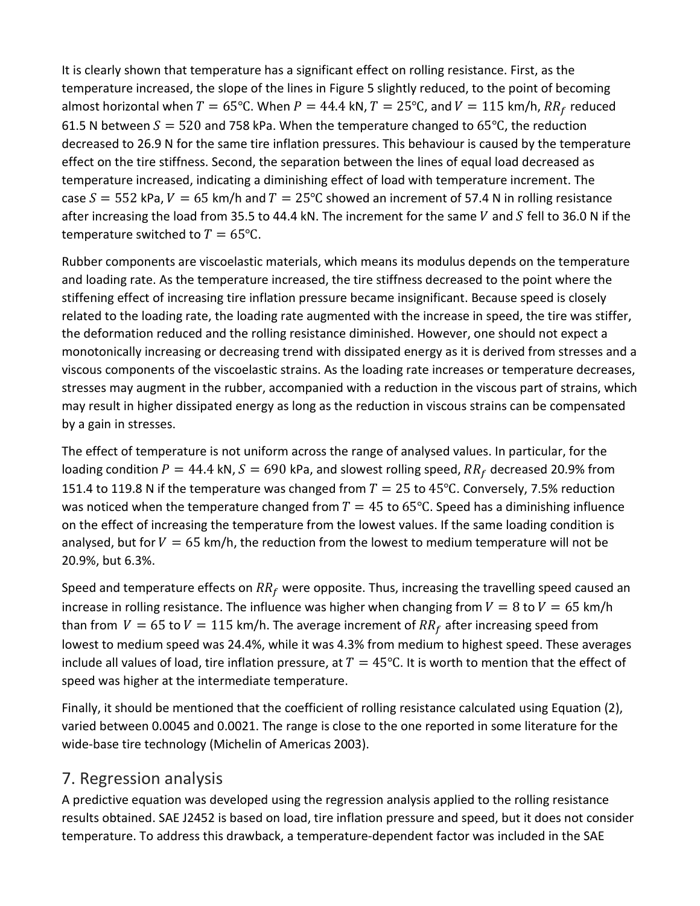It is clearly shown that temperature has a significant effect on rolling resistance. First, as the temperature increased, the slope of the lines in Figure 5 slightly reduced, to the point of becoming almost horizontal when  $T = 65^{\circ}$ C. When  $P = 44.4$  kN,  $T = 25^{\circ}$ C, and  $V = 115$  km/h,  $RR_f$  reduced 61.5 N between  $S = 520$  and 758 kPa. When the temperature changed to 65°C, the reduction decreased to 26.9 N for the same tire inflation pressures. This behaviour is caused by the temperature effect on the tire stiffness. Second, the separation between the lines of equal load decreased as temperature increased, indicating a diminishing effect of load with temperature increment. The case  $S = 552$  kPa,  $V = 65$  km/h and  $T = 25^{\circ}$ C showed an increment of 57.4 N in rolling resistance after increasing the load from 35.5 to 44.4 kN. The increment for the same  $V$  and  $S$  fell to 36.0 N if the temperature switched to  $T = 65$ °C.

Rubber components are viscoelastic materials, which means its modulus depends on the temperature and loading rate. As the temperature increased, the tire stiffness decreased to the point where the stiffening effect of increasing tire inflation pressure became insignificant. Because speed is closely related to the loading rate, the loading rate augmented with the increase in speed, the tire was stiffer, the deformation reduced and the rolling resistance diminished. However, one should not expect a monotonically increasing or decreasing trend with dissipated energy as it is derived from stresses and a viscous components of the viscoelastic strains. As the loading rate increases or temperature decreases, stresses may augment in the rubber, accompanied with a reduction in the viscous part of strains, which may result in higher dissipated energy as long as the reduction in viscous strains can be compensated by a gain in stresses.

The effect of temperature is not uniform across the range of analysed values. In particular, for the loading condition  $P = 44.4$  kN,  $S = 690$  kPa, and slowest rolling speed,  $RR_f$  decreased 20.9% from 151.4 to 119.8 N if the temperature was changed from  $T = 25$  to 45°C. Conversely, 7.5% reduction was noticed when the temperature changed from  $T = 45$  to 65°C. Speed has a diminishing influence on the effect of increasing the temperature from the lowest values. If the same loading condition is analysed, but for  $V = 65$  km/h, the reduction from the lowest to medium temperature will not be 20.9%, but 6.3%.

Speed and temperature effects on  $RR<sub>f</sub>$  were opposite. Thus, increasing the travelling speed caused an increase in rolling resistance. The influence was higher when changing from  $V = 8$  to  $V = 65$  km/h than from  $V = 65$  to  $V = 115$  km/h. The average increment of  $RR<sub>f</sub>$  after increasing speed from lowest to medium speed was 24.4%, while it was 4.3% from medium to highest speed. These averages include all values of load, tire inflation pressure, at  $T = 45$ °C. It is worth to mention that the effect of speed was higher at the intermediate temperature.

Finally, it should be mentioned that the coefficient of rolling resistance calculated using Equation (2), varied between 0.0045 and 0.0021. The range is close to the one reported in some literature for the wide-base tire technology (Michelin of Americas 2003).

#### 7. Regression analysis

A predictive equation was developed using the regression analysis applied to the rolling resistance results obtained. SAE J2452 is based on load, tire inflation pressure and speed, but it does not consider temperature. To address this drawback, a temperature-dependent factor was included in the SAE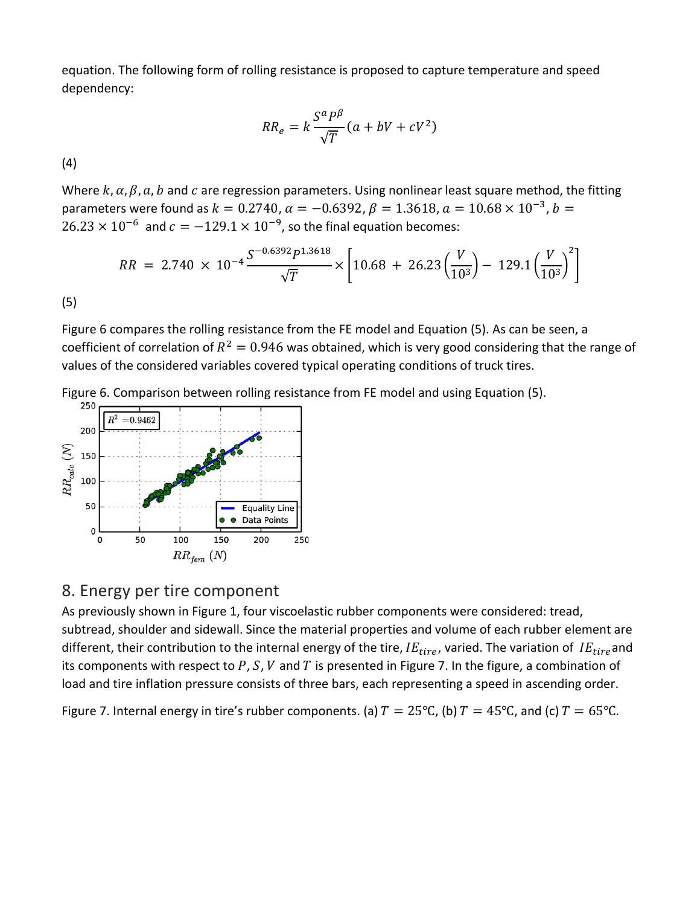equation. The following form of rolling resistance is proposed to capture temperature and speed dependency:

$$
RR_e = k \frac{S^a P^\beta}{\sqrt{T}} (a + bV + cV^2)
$$

(4)

Where  $k$ ,  $\alpha$ ,  $\beta$ ,  $a$ ,  $b$  and  $c$  are regression parameters. Using nonlinear least square method, the fitting parameters were found as  $k = 0.2740$ ,  $\alpha = -0.6392$ ,  $\beta = 1.3618$ ,  $\alpha = 10.68 \times 10^{-3}$ ,  $b =$  $26.23 \times 10^{-6}$  and  $c = -129.1 \times 10^{-9}$ , so the final equation becomes:

$$
RR = 2.740 \times 10^{-4} \frac{S^{-0.6392} P^{1.3618}}{\sqrt{T}} \times \left[10.68 + 26.23 \left(\frac{V}{10^3}\right) - 129.1 \left(\frac{V}{10^3}\right)^2\right]
$$

(5)

Figure 6 compares the rolling resistance from the FE model and Equation (5). As can be seen, a coefficient of correlation of  $R^2 = 0.946$  was obtained, which is very good considering that the range of values of the considered variables covered typical operating conditions of truck tires.





#### 8. Energy per tire component

As previously shown in Figure 1, four viscoelastic rubber components were considered: tread, subtread, shoulder and sidewall. Since the material properties and volume of each rubber element are different, their contribution to the internal energy of the tire,  $IE_{tire}$ , varied. The variation of  $IE_{tire}$  and its components with respect to  $P$ ,  $S$ ,  $V$  and  $T$  is presented in Figure 7. In the figure, a combination of load and tire inflation pressure consists of three bars, each representing a speed in ascending order.

Figure 7. Internal energy in tire's rubber components. (a)  $T = 25^{\circ}$ C, (b)  $T = 45^{\circ}$ C, and (c)  $T = 65^{\circ}$ C.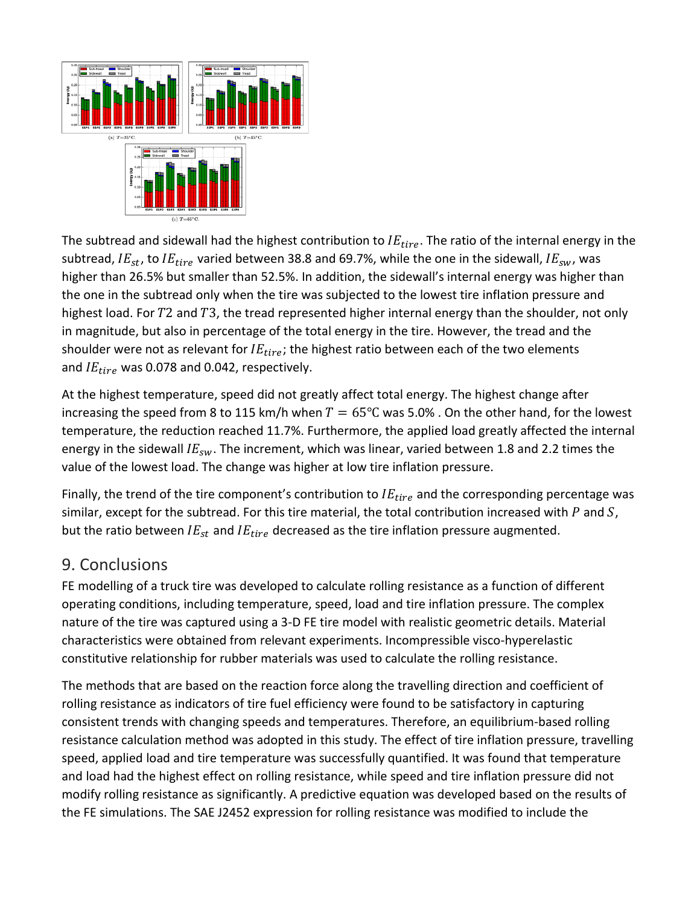

The subtread and sidewall had the highest contribution to  $IE_{tire}$ . The ratio of the internal energy in the subtread,  $IE_{st}$ , to  $IE_{tire}$  varied between 38.8 and 69.7%, while the one in the sidewall,  $IE_{sw}$ , was higher than 26.5% but smaller than 52.5%. In addition, the sidewall's internal energy was higher than the one in the subtread only when the tire was subjected to the lowest tire inflation pressure and highest load. For  $T2$  and  $T3$ , the tread represented higher internal energy than the shoulder, not only in magnitude, but also in percentage of the total energy in the tire. However, the tread and the shoulder were not as relevant for  $IE_{tire}$ ; the highest ratio between each of the two elements and  $IE_{tire}$  was 0.078 and 0.042, respectively.

At the highest temperature, speed did not greatly affect total energy. The highest change after increasing the speed from 8 to 115 km/h when  $T = 65^{\circ}$ C was 5.0% . On the other hand, for the lowest temperature, the reduction reached 11.7%. Furthermore, the applied load greatly affected the internal energy in the sidewall  $IE_{sw}$ . The increment, which was linear, varied between 1.8 and 2.2 times the value of the lowest load. The change was higher at low tire inflation pressure.

Finally, the trend of the tire component's contribution to  $IE_{tire}$  and the corresponding percentage was similar, except for the subtread. For this tire material, the total contribution increased with  $P$  and  $S$ , but the ratio between  $IE<sub>st</sub>$  and  $IE<sub>trie</sub>$  decreased as the tire inflation pressure augmented.

#### 9. Conclusions

FE modelling of a truck tire was developed to calculate rolling resistance as a function of different operating conditions, including temperature, speed, load and tire inflation pressure. The complex nature of the tire was captured using a 3-D FE tire model with realistic geometric details. Material characteristics were obtained from relevant experiments. Incompressible visco-hyperelastic constitutive relationship for rubber materials was used to calculate the rolling resistance.

The methods that are based on the reaction force along the travelling direction and coefficient of rolling resistance as indicators of tire fuel efficiency were found to be satisfactory in capturing consistent trends with changing speeds and temperatures. Therefore, an equilibrium-based rolling resistance calculation method was adopted in this study. The effect of tire inflation pressure, travelling speed, applied load and tire temperature was successfully quantified. It was found that temperature and load had the highest effect on rolling resistance, while speed and tire inflation pressure did not modify rolling resistance as significantly. A predictive equation was developed based on the results of the FE simulations. The SAE J2452 expression for rolling resistance was modified to include the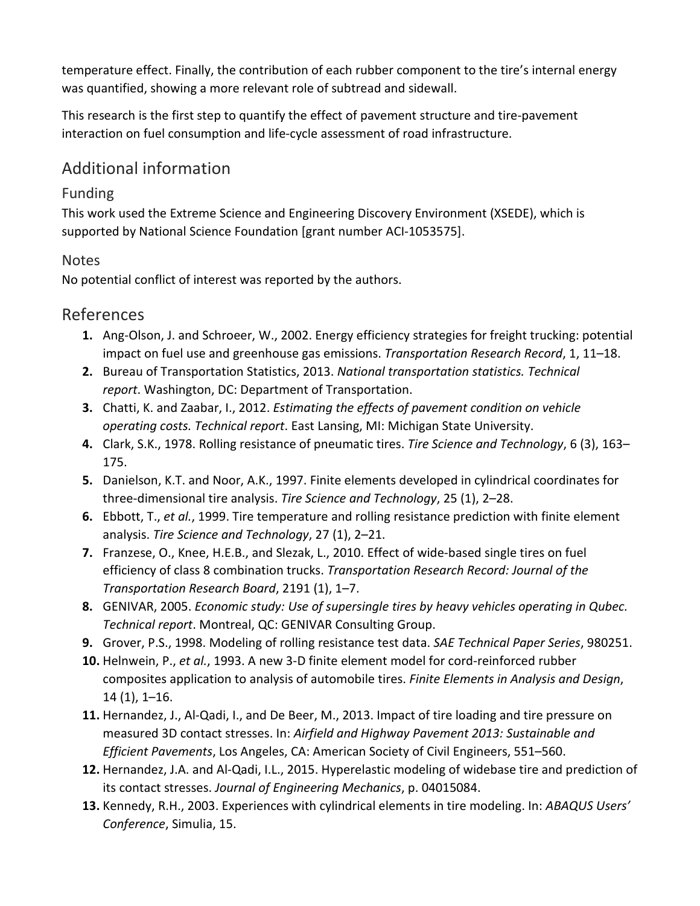temperature effect. Finally, the contribution of each rubber component to the tire's internal energy was quantified, showing a more relevant role of subtread and sidewall.

This research is the first step to quantify the effect of pavement structure and tire-pavement interaction on fuel consumption and life-cycle assessment of road infrastructure.

## Additional information

#### Funding

This work used the Extreme Science and Engineering Discovery Environment (XSEDE), which is supported by National Science Foundation [grant number ACI-1053575].

#### **Notes**

No potential conflict of interest was reported by the authors.

#### References

- **1.** Ang-Olson, J. and Schroeer, W., 2002. Energy efficiency strategies for freight trucking: potential impact on fuel use and greenhouse gas emissions. *Transportation Research Record*, 1, 11–18.
- **2.** Bureau of Transportation Statistics, 2013. *National transportation statistics. Technical report*. Washington, DC: Department of Transportation.
- **3.** Chatti, K. and Zaabar, I., 2012. *Estimating the effects of pavement condition on vehicle operating costs. Technical report*. East Lansing, MI: Michigan State University.
- **4.** Clark, S.K., 1978. Rolling resistance of pneumatic tires. *Tire Science and Technology*, 6 (3), 163– 175.
- **5.** Danielson, K.T. and Noor, A.K., 1997. Finite elements developed in cylindrical coordinates for three-dimensional tire analysis. *Tire Science and Technology*, 25 (1), 2–28.
- **6.** Ebbott, T., *et al.*, 1999. Tire temperature and rolling resistance prediction with finite element analysis. *Tire Science and Technology*, 27 (1), 2–21.
- **7.** Franzese, O., Knee, H.E.B., and Slezak, L., 2010. Effect of wide-based single tires on fuel efficiency of class 8 combination trucks. *Transportation Research Record: Journal of the Transportation Research Board*, 2191 (1), 1–7.
- **8.** GENIVAR, 2005. *Economic study: Use of supersingle tires by heavy vehicles operating in Qubec. Technical report*. Montreal, QC: GENIVAR Consulting Group.
- **9.** Grover, P.S., 1998. Modeling of rolling resistance test data. *SAE Technical Paper Series*, 980251.
- **10.** Helnwein, P., *et al.*, 1993. A new 3-D finite element model for cord-reinforced rubber composites application to analysis of automobile tires. *Finite Elements in Analysis and Design*, 14 (1), 1–16.
- **11.** Hernandez, J., Al-Qadi, I., and De Beer, M., 2013. Impact of tire loading and tire pressure on measured 3D contact stresses. In: *Airfield and Highway Pavement 2013: Sustainable and Efficient Pavements*, Los Angeles, CA: American Society of Civil Engineers, 551–560.
- **12.** Hernandez, J.A. and Al-Qadi, I.L., 2015. Hyperelastic modeling of widebase tire and prediction of its contact stresses. *Journal of Engineering Mechanics*, p. 04015084.
- **13.** Kennedy, R.H., 2003. Experiences with cylindrical elements in tire modeling. In: *ABAQUS Users' Conference*, Simulia, 15.